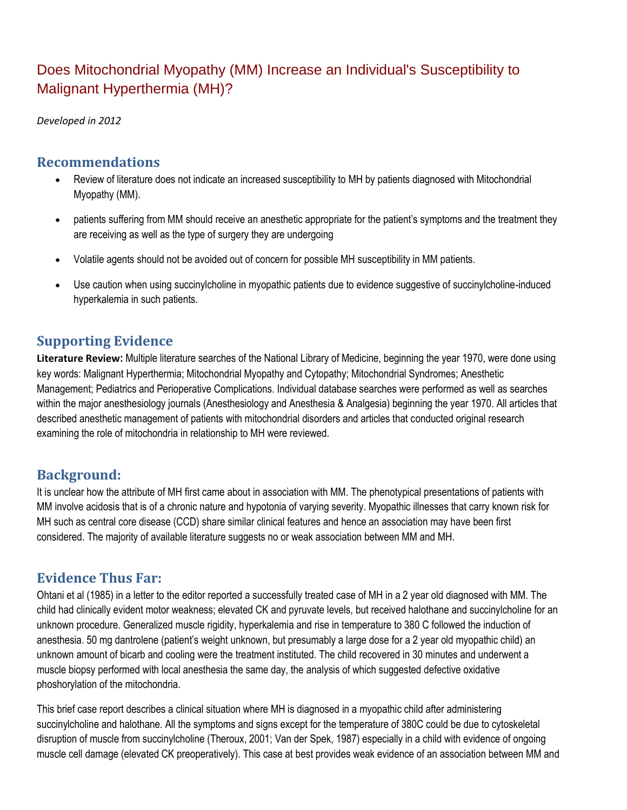# Does Mitochondrial Myopathy (MM) Increase an Individual's Susceptibility to Malignant Hyperthermia (MH)?

*Developed in 2012*

### **Recommendations**

- Review of literature does not indicate an increased susceptibility to MH by patients diagnosed with Mitochondrial Myopathy (MM).
- patients suffering from MM should receive an anesthetic appropriate for the patient's symptoms and the treatment they are receiving as well as the type of surgery they are undergoing
- Volatile agents should not be avoided out of concern for possible MH susceptibility in MM patients.
- Use caution when using succinylcholine in myopathic patients due to evidence suggestive of succinylcholine-induced hyperkalemia in such patients.

# **Supporting Evidence**

**Literature Review:** Multiple literature searches of the National Library of Medicine, beginning the year 1970, were done using key words: Malignant Hyperthermia; Mitochondrial Myopathy and Cytopathy; Mitochondrial Syndromes; Anesthetic Management; Pediatrics and Perioperative Complications. Individual database searches were performed as well as searches within the major anesthesiology journals (Anesthesiology and Anesthesia & Analgesia) beginning the year 1970. All articles that described anesthetic management of patients with mitochondrial disorders and articles that conducted original research examining the role of mitochondria in relationship to MH were reviewed.

### **Background:**

It is unclear how the attribute of MH first came about in association with MM. The phenotypical presentations of patients with MM involve acidosis that is of a chronic nature and hypotonia of varying severity. Myopathic illnesses that carry known risk for MH such as central core disease (CCD) share similar clinical features and hence an association may have been first considered. The majority of available literature suggests no or weak association between MM and MH.

# **Evidence Thus Far:**

Ohtani et al (1985) in a letter to the editor reported a successfully treated case of MH in a 2 year old diagnosed with MM. The child had clinically evident motor weakness; elevated CK and pyruvate levels, but received halothane and succinylcholine for an unknown procedure. Generalized muscle rigidity, hyperkalemia and rise in temperature to 380 C followed the induction of anesthesia. 50 mg dantrolene (patient's weight unknown, but presumably a large dose for a 2 year old myopathic child) an unknown amount of bicarb and cooling were the treatment instituted. The child recovered in 30 minutes and underwent a muscle biopsy performed with local anesthesia the same day, the analysis of which suggested defective oxidative phoshorylation of the mitochondria.

This brief case report describes a clinical situation where MH is diagnosed in a myopathic child after administering succinylcholine and halothane. All the symptoms and signs except for the temperature of 380C could be due to cytoskeletal disruption of muscle from succinylcholine (Theroux, 2001; Van der Spek, 1987) especially in a child with evidence of ongoing muscle cell damage (elevated CK preoperatively). This case at best provides weak evidence of an association between MM and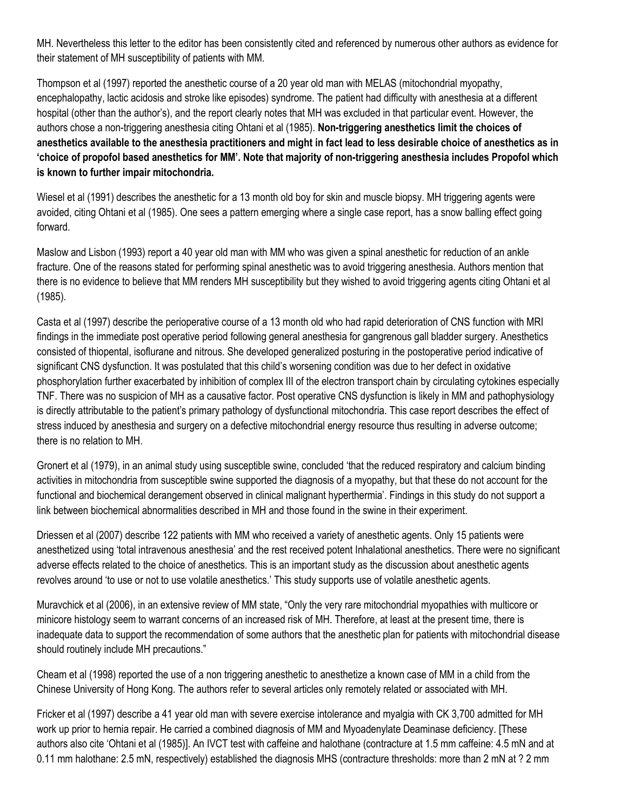MH. Nevertheless this letter to the editor has been consistently cited and referenced by numerous other authors as evidence for their statement of MH susceptibility of patients with MM.

Thompson et al (1997) reported the anesthetic course of a 20 year old man with MELAS (mitochondrial myopathy, encephalopathy, lactic acidosis and stroke like episodes) syndrome. The patient had difficulty with anesthesia at a different hospital (other than the author's), and the report clearly notes that MH was excluded in that particular event. However, the authors chose a non-triggering anesthesia citing Ohtani et al (1985). **Non-triggering anesthetics limit the choices of anesthetics available to the anesthesia practitioners and might in fact lead to less desirable choice of anesthetics as in 'choice of propofol based anesthetics for MM'. Note that majority of non-triggering anesthesia includes Propofol which is known to further impair mitochondria.**

Wiesel et al (1991) describes the anesthetic for a 13 month old boy for skin and muscle biopsy. MH triggering agents were avoided, citing Ohtani et al (1985). One sees a pattern emerging where a single case report, has a snow balling effect going forward.

Maslow and Lisbon (1993) report a 40 year old man with MM who was given a spinal anesthetic for reduction of an ankle fracture. One of the reasons stated for performing spinal anesthetic was to avoid triggering anesthesia. Authors mention that there is no evidence to believe that MM renders MH susceptibility but they wished to avoid triggering agents citing Ohtani et al (1985).

Casta et al (1997) describe the perioperative course of a 13 month old who had rapid deterioration of CNS function with MRI findings in the immediate post operative period following general anesthesia for gangrenous gall bladder surgery. Anesthetics consisted of thiopental, isoflurane and nitrous. She developed generalized posturing in the postoperative period indicative of significant CNS dysfunction. It was postulated that this child's worsening condition was due to her defect in oxidative phosphorylation further exacerbated by inhibition of complex III of the electron transport chain by circulating cytokines especially TNF. There was no suspicion of MH as a causative factor. Post operative CNS dysfunction is likely in MM and pathophysiology is directly attributable to the patient's primary pathology of dysfunctional mitochondria. This case report describes the effect of stress induced by anesthesia and surgery on a defective mitochondrial energy resource thus resulting in adverse outcome; there is no relation to MH.

Gronert et al (1979), in an animal study using susceptible swine, concluded 'that the reduced respiratory and calcium binding activities in mitochondria from susceptible swine supported the diagnosis of a myopathy, but that these do not account for the functional and biochemical derangement observed in clinical malignant hyperthermia'. Findings in this study do not support a link between biochemical abnormalities described in MH and those found in the swine in their experiment.

Driessen et al (2007) describe 122 patients with MM who received a variety of anesthetic agents. Only 15 patients were anesthetized using 'total intravenous anesthesia' and the rest received potent Inhalational anesthetics. There were no significant adverse effects related to the choice of anesthetics. This is an important study as the discussion about anesthetic agents revolves around 'to use or not to use volatile anesthetics.' This study supports use of volatile anesthetic agents.

Muravchick et al (2006), in an extensive review of MM state, "Only the very rare mitochondrial myopathies with multicore or minicore histology seem to warrant concerns of an increased risk of MH. Therefore, at least at the present time, there is inadequate data to support the recommendation of some authors that the anesthetic plan for patients with mitochondrial disease should routinely include MH precautions."

Cheam et al (1998) reported the use of a non triggering anesthetic to anesthetize a known case of MM in a child from the Chinese University of Hong Kong. The authors refer to several articles only remotely related or associated with MH.

Fricker et al (1997) describe a 41 year old man with severe exercise intolerance and myalgia with CK 3,700 admitted for MH work up prior to hernia repair. He carried a combined diagnosis of MM and Myoadenylate Deaminase deficiency. [These authors also cite 'Ohtani et al (1985)]. An IVCT test with caffeine and halothane (contracture at 1.5 mm caffeine: 4.5 mN and at 0.11 mm halothane: 2.5 mN, respectively) established the diagnosis MHS (contracture thresholds: more than 2 mN at ? 2 mm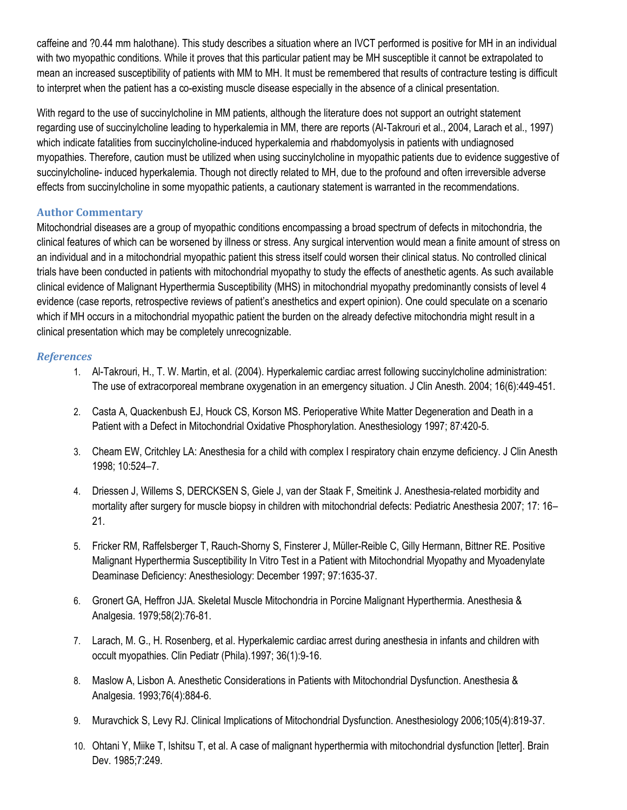caffeine and ?0.44 mm halothane). This study describes a situation where an IVCT performed is positive for MH in an individual with two myopathic conditions. While it proves that this particular patient may be MH susceptible it cannot be extrapolated to mean an increased susceptibility of patients with MM to MH. It must be remembered that results of contracture testing is difficult to interpret when the patient has a co-existing muscle disease especially in the absence of a clinical presentation.

With regard to the use of succinylcholine in MM patients, although the literature does not support an outright statement regarding use of succinylcholine leading to hyperkalemia in MM, there are reports (Al-Takrouri et al., 2004, Larach et al., 1997) which indicate fatalities from succinylcholine-induced hyperkalemia and rhabdomyolysis in patients with undiagnosed myopathies. Therefore, caution must be utilized when using succinylcholine in myopathic patients due to evidence suggestive of succinylcholine- induced hyperkalemia. Though not directly related to MH, due to the profound and often irreversible adverse effects from succinylcholine in some myopathic patients, a cautionary statement is warranted in the recommendations.

#### **Author Commentary**

Mitochondrial diseases are a group of myopathic conditions encompassing a broad spectrum of defects in mitochondria, the clinical features of which can be worsened by illness or stress. Any surgical intervention would mean a finite amount of stress on an individual and in a mitochondrial myopathic patient this stress itself could worsen their clinical status. No controlled clinical trials have been conducted in patients with mitochondrial myopathy to study the effects of anesthetic agents. As such available clinical evidence of Malignant Hyperthermia Susceptibility (MHS) in mitochondrial myopathy predominantly consists of level 4 evidence (case reports, retrospective reviews of patient's anesthetics and expert opinion). One could speculate on a scenario which if MH occurs in a mitochondrial myopathic patient the burden on the already defective mitochondria might result in a clinical presentation which may be completely unrecognizable.

#### *References*

- 1. Al-Takrouri, H., T. W. Martin, et al. (2004). Hyperkalemic cardiac arrest following succinylcholine administration: The use of extracorporeal membrane oxygenation in an emergency situation. J Clin Anesth. 2004; 16(6):449-451.
- 2. Casta A, Quackenbush EJ, Houck CS, Korson MS. Perioperative White Matter Degeneration and Death in a Patient with a Defect in Mitochondrial Oxidative Phosphorylation. Anesthesiology 1997; 87:420-5.
- 3. Cheam EW, Critchley LA: Anesthesia for a child with complex I respiratory chain enzyme deficiency. J Clin Anesth 1998; 10:524–7.
- 4. Driessen J, Willems S, DERCKSEN S, Giele J, van der Staak F, Smeitink J. Anesthesia-related morbidity and mortality after surgery for muscle biopsy in children with mitochondrial defects: Pediatric Anesthesia 2007; 17: 16– 21.
- 5. Fricker RM, Raffelsberger T, Rauch-Shorny S, Finsterer J, Müller-Reible C, Gilly Hermann, Bittner RE. Positive Malignant Hyperthermia Susceptibility In Vitro Test in a Patient with Mitochondrial Myopathy and Myoadenylate Deaminase Deficiency: Anesthesiology: December 1997; 97:1635-37.
- 6. Gronert GA, Heffron JJA. Skeletal Muscle Mitochondria in Porcine Malignant Hyperthermia. Anesthesia & Analgesia. 1979;58(2):76-81.
- 7. Larach, M. G., H. Rosenberg, et al. Hyperkalemic cardiac arrest during anesthesia in infants and children with occult myopathies. Clin Pediatr (Phila).1997; 36(1):9-16.
- 8. Maslow A, Lisbon A. Anesthetic Considerations in Patients with Mitochondrial Dysfunction. Anesthesia & Analgesia. 1993;76(4):884-6.
- 9. Muravchick S, Levy RJ. Clinical Implications of Mitochondrial Dysfunction. Anesthesiology 2006;105(4):819-37.
- 10. Ohtani Y, Miike T, Ishitsu T, et al. A case of malignant hyperthermia with mitochondrial dysfunction [letter]. Brain Dev. 1985;7:249.